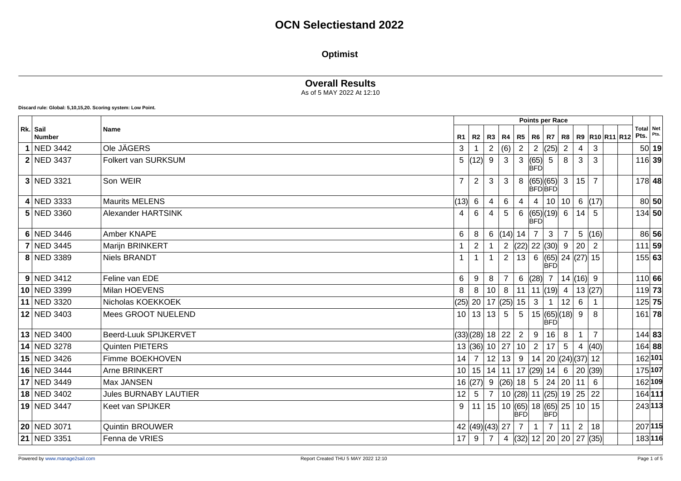### **Optimist**

### **Overall Results**

As of 5 MAY 2022 At 12:10

**Discard rule: Global: 5,10,15,20. Scoring system: Low Point.**

|                           |                              | <b>Points per Race</b> |                  |                 |                      |                |                               |                |                                     |             |                |                |                                 |  |
|---------------------------|------------------------------|------------------------|------------------|-----------------|----------------------|----------------|-------------------------------|----------------|-------------------------------------|-------------|----------------|----------------|---------------------------------|--|
| Rk. Sail<br><b>Number</b> | <b>Name</b>                  | R <sub>1</sub>         | R2               | R3   R4         |                      | R5             | $R6$ $R7$                     |                | R8                                  |             |                | R9 R10 R11 R12 | <b>Total Net</b><br>$Pts.$ Pts. |  |
| 1 NED 3442                | Ole JÄGERS                   | 3                      |                  | $\mathbf{2}$    | (6)                  | $\overline{2}$ |                               | 2  (25)        | 2                                   | 4           | 3              |                | 50 19                           |  |
| <b>2 NED 3437</b>         | <b>Folkert van SURKSUM</b>   | 5                      | (12)             | 9               | 3                    | 3              | (65)<br><b>BFO</b>            | 5              | 8                                   | 3           | 3              |                | $116$ 39                        |  |
| 3 NED 3321                | Son WEIR                     | $\overline{7}$         | $\overline{2}$   | 3               | 3                    | 8              | (65) (65) 3<br><b>BFÓBFÓ</b>  |                |                                     | 15          | $\overline{7}$ |                | 178 48                          |  |
| 4 NED 3333                | <b>Maurits MELENS</b>        | (13)                   | 6                | 4               | 6                    | 4              |                               | 4   10   10    |                                     | 6(17)       |                |                | 80 50                           |  |
| 5 NED 3360                | Alexander HARTSINK           | 4                      | 6                |                 | 5                    | 6              | $ (65) (19) $ 6<br><b>BFD</b> |                |                                     | 14          | -5             |                | $134$ 50                        |  |
| 6 NED 3446                | Amber KNAPE                  | 6                      | 8                | 6               | $(14)$ 14            |                | 7 <sup>1</sup>                | 3              | $\overline{7}$                      |             | 5  (16)        |                | 86 56                           |  |
| <b>7 NED 3445</b>         | Marijn BRINKERT              | $\mathbf 1$            | $\overline{2}$   |                 |                      |                | 2 $ (22)  22  (30)  9$        |                |                                     | 20          | 2              |                | $111$ 59                        |  |
| 8 NED 3389                | <b>Niels BRANDT</b>          | $\mathbf{1}$           |                  |                 | $\overline{2}$       | 13             |                               | <b>BFD</b>     | 6 $ (65)  24  (27)  15$             |             |                |                | 155 63                          |  |
| $9$ NED 3412              | Feline van EDE               | $\,6$                  | 9                | 8               |                      | 6              | (28) 7                        |                | 14  (16)  9                         |             |                |                | 110 66                          |  |
| 10 NED 3399               | Milan HOEVENS                | 8                      | 8                | 10 <sup>1</sup> | 8                    | 11             |                               | 11 $(19)$ 4    |                                     | 13(27)      |                |                | $119$ 73                        |  |
| 11 NED 3320               | Nicholas KOEKKOEK            | $(25)$ 20              |                  |                 | 17  (25)             | 15             | $\mathbf{3}$                  | $\mathbf 1$    | 12                                  | 6           |                |                | $125$ 75                        |  |
| 12 NED 3403               | Mees GROOT NUELEND           |                        | 10 13            | 13              | $5\overline{5}$      | 5              |                               | <b>BFD</b>     | 15   (65)   (18)   9                |             | 8              |                | 161 78                          |  |
| 13 NED 3400               | Beerd-Luuk SPIJKERVET        |                        | $(33)(28)$ 18 22 |                 |                      | $\overline{2}$ | 9                             | 16             | 8                                   |             | $\overline{7}$ |                | 144 83                          |  |
| 14 NED 3278               | Quinten PIETERS              |                        | 13(36)           | 10 27           |                      | 10             | 2 <sup>1</sup>                | 17             | 5                                   | 4           | (40)           |                | 164 88                          |  |
| 15 NED 3426               | Fimme BOEKHOVEN              | 14                     | $\overline{7}$   | 12              | 13                   | 9              |                               |                | 14   20   (24)   (37)   12          |             |                |                | 162 101                         |  |
| 16 NED 3444               | Arne BRINKERT                |                        | 10 15            | 14              | 11                   |                | 17 $ (29) $ 14                |                | 6                                   | 20(39)      |                |                | 175 107                         |  |
| 17 NED 3449               | Max JANSEN                   |                        | 16(27)           | 9               | (26)                 | 18             |                               | $5 \mid 24$    | 20                                  | 11          | -6             |                | 162 109                         |  |
| 18 NED 3402               | <b>Jules BURNABY LAUTIER</b> | 12                     | 5                | $\overline{7}$  |                      |                |                               |                | 10 (28) 11 (25) 19 25 22            |             |                |                | 164 111                         |  |
| 19 NED 3447               | Keet van SPIJKER             | 9                      | $ 11\rangle$     | 15              | $10$ (65) 18 (65) 25 | <b>BFD</b>     |                               | <b>BFD</b>     |                                     | 10 15       |                |                | 243 113                         |  |
| 20 NED 3071               | <b>Quintin BROUWER</b>       |                        | 42 (49) (43) 27  |                 |                      | $\overline{7}$ | $\mathbf 1$                   | $\overline{7}$ | 11                                  | $2^{\circ}$ | 18             |                | 207 115                         |  |
| 21 NED 3351               | Fenna de VRIES               | 17                     | 9                | $\overline{7}$  | 4                    |                |                               |                | $ (32) $ 12   20   20   27 $ (35) $ |             |                |                | 183116                          |  |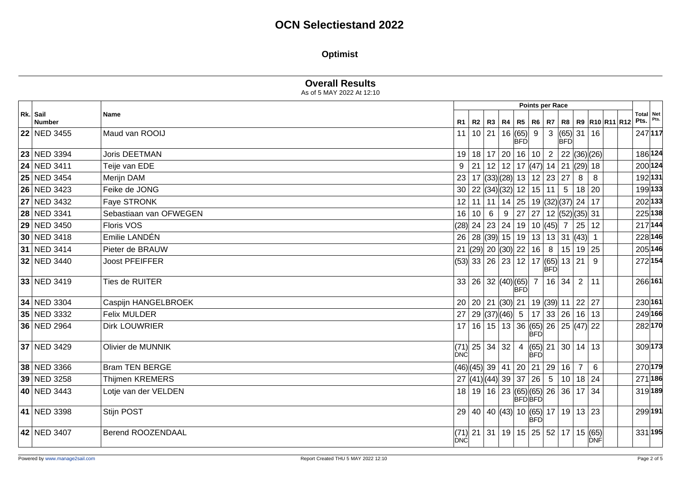### **Optimist**

|                           |                        | Points per Race                                                                                |                          |         |
|---------------------------|------------------------|------------------------------------------------------------------------------------------------|--------------------------|---------|
| Rk. Sail<br><b>Number</b> | <b>Name</b>            | R5   R6   R7   R8   R9  R10  R11  R12<br>R1   R2   R3   R4                                     | <b>Total Net</b><br>Pts. | Pts.    |
| 22 NED 3455               | Maud van ROOIJ         | 3  (65)   31   16<br>$11 \mid 10 \mid 21 \mid 16 \mid (65) \mid 9$<br><b>BFD</b><br><b>BFD</b> |                          | 247 117 |
| 23 NED 3394               | <b>Joris DEETMAN</b>   | 17 20<br>16 10 <br> 22 (36) (26)<br>$\overline{2}$<br>18<br>19 <sup>1</sup>                    |                          | 186 124 |
| 24 NED 3411               | Teije van EDE          | 12   12   17  (47)  14   21  (29)  18<br>21<br>9                                               |                          | 200 124 |
| 25 NED 3454               | Merijn DAM             | $17$ (33)(28) 13 12 23 27<br>8<br>23<br>8                                                      |                          | 192 131 |
| 26 NED 3423               | Feike de JONG          | 22 $ (34)(32) $ 12   15   11   5<br>18 20<br>30 <sup>2</sup>                                   |                          | 199 133 |
| 27 NED 3432               | Faye STRONK            | 11 14 25 19 (32) (37) 24 17<br>12 <br>11                                                       |                          | 202 133 |
| 28 NED 3341               | Sebastiaan van OFWEGEN | 27<br>  27   12  (52) (35)  31<br>16<br>$6\overline{6}$<br>9<br>10 <sup>1</sup>                |                          | 225 138 |
| 29 NED 3450               | Floris VOS             | (28) 24   23   24   19   10  (45)  7<br> 25 12                                                 |                          | 217 144 |
| 30 NED 3418               | Emilie LANDÉN          | 26   28   (39)   15   19   13   13   31   (43)   1                                             |                          | 228 146 |
| 31 NED 3414               | Pieter de BRAUW        | 21 (29) 20 (30) 22<br>16<br>15 19 25<br>8                                                      |                          | 205 146 |
| 32 NED 3440               | <b>Joost PFEIFFER</b>  | $12$ 17 (65) 13 21<br>$(53)$ 33 26 23<br>9<br><b>BFD</b>                                       |                          | 272 154 |
| 33 NED 3419               | Ties de RUITER         | $\overline{2}$<br>33   26   32   (40)   (65)   7<br>16 34<br>11<br><b>BFD</b>                  | 266 161                  |         |
| 34 NED 3304               | Caspijn HANGELBROEK    | $ 19 $ (39) 11 22 27<br>20 20 21 (30) 21                                                       |                          | 230 161 |
| 35 NED 3332               | <b>Felix MULDER</b>    | $27   29   (37)   (46)   5   17   33   26   16   13$                                           |                          | 249 166 |
| 36 NED 2964               | <b>Dirk LOUWRIER</b>   | 17 16 15 13 36 65 26 25 47 22<br>BFD                                                           |                          | 282 170 |
| 37 NED 3429               | Olivier de MUNNIK      | $(71)$ 25 34 32<br>$ (65) $ 21   30   14   13<br>$\overline{4}$<br>ÍĎNČ<br><b>BFD</b>          |                          | 309 173 |
| 38 NED 3366               | <b>Bram TEN BERGE</b>  | (46) (45)  39   41   20   21   29  <br>16<br>$\overline{7}$<br>6                               |                          | 270 179 |
| 39 NED 3258               | <b>Thijmen KREMERS</b> | 27  (41) (44)   39   37   26  <br>$5 \mid 10 \mid 18 \mid 24$                                  |                          | 271 186 |
| 40 NED 3443               | Lotje van der VELDEN   | 18   19   16   23   (65)   (65)   26   36   17   34<br><b>BFÓBFÓ</b>                           |                          | 319 189 |
| 41 NED 3398               | Stijn POST             | 29 40 40 43 10 65 17 19 13 23<br><b>BFD</b>                                                    | 299 191                  |         |
| 42 NED 3407               | Berend ROOZENDAAL      | 31 19 15 25 52 17 15 65<br>(71) 21<br>∣ÒNĆ<br><b>DNF</b>                                       |                          | 331 195 |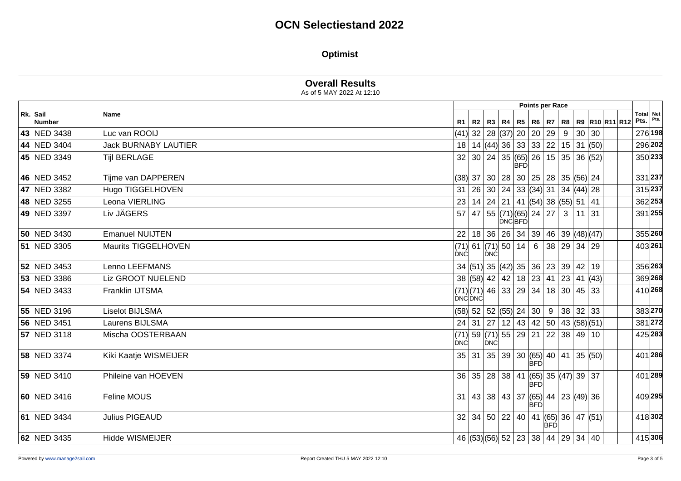### **Optimist**

|                    |                             | <b>Overall Results</b><br>As of 5 MAY 2022 At 12:10 |  |                                                                            |                 |                        |            |                              |         |                                                         |                                           |
|--------------------|-----------------------------|-----------------------------------------------------|--|----------------------------------------------------------------------------|-----------------|------------------------|------------|------------------------------|---------|---------------------------------------------------------|-------------------------------------------|
|                    |                             |                                                     |  |                                                                            | Points per Race |                        |            |                              |         |                                                         |                                           |
| Rk. Sail<br>Number | Name                        | R1                                                  |  |                                                                            |                 |                        |            |                              |         | R2   R3   R4   R5   R6   R7   R8   R9   R10   R11   R12 | Total Net<br>$ P$ ts. $ P$ <sup>ts.</sup> |
| 43 NED 3438        | Luc van ROOIJ               |                                                     |  | $(41)$ 32   28 $ (37)$ 20   20                                             |                 |                        | 29         | 9                            | 30 30   |                                                         | 276 198                                   |
| 44 NED 3404        | <b>Jack BURNABY LAUTIER</b> | 18                                                  |  | $\overline{14}\ \overline{ 44\rangle }$ 36   33   33   22   15   31   (50) |                 |                        |            |                              |         |                                                         | 296 202                                   |
| 45 NED 3349        | <b>Tijl BERLAGE</b>         | 32                                                  |  | 30   24   35   (65)   26                                                   | <b>BFD</b>      |                        |            | 15 35 36 (52)                |         |                                                         | 350 233                                   |
| 46 NED 3452        | Tijme van DAPPEREN          |                                                     |  | $(38)$ 37 30 28 30 25 28 35 (56) 24                                        |                 |                        |            |                              |         |                                                         | 331 237                                   |
| 47 NED 3382        | Hugo TIGGELHOVEN            | 31                                                  |  | 26   30   24   33   (34)   31   34   (44)   28                             |                 |                        |            |                              |         |                                                         | 315 237                                   |
| 48 NED 3255        | Leona VIERLING              | 23                                                  |  | $14$   24   21   41   (54)  38   (55)  51   41                             |                 |                        |            |                              |         |                                                         | 362 253                                   |
| 49 NED 3397        | Liv JÄGERS                  | 57                                                  |  | 47                                                                         | <b>DNCBFD</b>   | 55  (71) (65)  24   27 |            | 3 <sup>1</sup>               | $11$ 31 |                                                         | 391 255                                   |
| 50 NED 3430        | <b>Emanuel NUIJTEN</b>      | 22                                                  |  | 18 36 26 34 39 46 39 48 48 47                                              |                 |                        |            |                              |         |                                                         | 355 260                                   |
| 51 NED 3305        | Maurits TIGGELHOVEN         | DNC                                                 |  | $(71)$ 61 $(71)$ 50 14<br><b>DNC</b>                                       |                 | $6\overline{6}$        |            | 38   29   34   29            |         |                                                         | 403 261                                   |
| 52 NED 3453        | Lenno LEEFMANS              |                                                     |  | 34 $ (51)$ 35 $ (42)$ 35 36 $ 23$ 39 42 19                                 |                 |                        |            |                              |         |                                                         | 356 263                                   |
| 53 NED 3386        | Liz GROOT NUELEND           |                                                     |  | 38 (58) 42 42 18 23                                                        |                 |                        |            | 41   23   41 (43)            |         |                                                         | 369 268                                   |
| 54 NED 3433        | Franklin IJTSMA             | DNĆDNĆ                                              |  | $(71)(71)$ 46 33 29 34                                                     |                 |                        |            | $18$ 30 45 33                |         |                                                         | 410 268                                   |
| 55 NED 3196        | <b>Liselot BIJLSMA</b>      |                                                     |  | $(58)$ 52 52 $(55)$ 24 30                                                  |                 |                        |            | 9   38   32   33             |         |                                                         | 383270                                    |
| 56 NED 3451        | Laurens BIJLSMA             |                                                     |  | 24 31 27 12 43 42 50 43 $(58)(51)$                                         |                 |                        |            |                              |         |                                                         | 381272                                    |
| 57 NED 3118        | Mischa OOSTERBAAN           | (71)<br>DNC                                         |  | 59 (71) 55 29 21<br>DNC                                                    |                 |                        |            | $22 \mid 38 \mid 49 \mid 10$ |         |                                                         | 425 283                                   |
| 58 NED 3374        | Kiki Kaatje WISMEIJER       |                                                     |  | $35   31   35   39   30   (65)   40   41   35   (50)$                      |                 | BFD                    |            |                              |         |                                                         | 401 286                                   |
| 59 NED 3410        | Phileine van HOEVEN         |                                                     |  | 36   35   28   38   41   (65)   35   (47)   39   37                        |                 | <b>BFD</b>             |            |                              |         |                                                         | 401 289                                   |
| 60 NED 3416        | Feline MOUS                 |                                                     |  | 31   43   38   43   37   (65)   44   23   (49)   36                        |                 | <b>BFD</b>             |            |                              |         |                                                         | 409 295                                   |
| 61 NED 3434        | <b>Julius PIGEAUD</b>       |                                                     |  | $32   34   50   22   40   41   (65)   36   47   (51)$                      |                 |                        | <b>BFD</b> |                              |         |                                                         | 418302                                    |
| 62 NED 3435        | <b>Hidde WISMEIJER</b>      |                                                     |  | 46 (53) (56) 52 23 38 44 29 34 40                                          |                 |                        |            |                              |         |                                                         | 415 306                                   |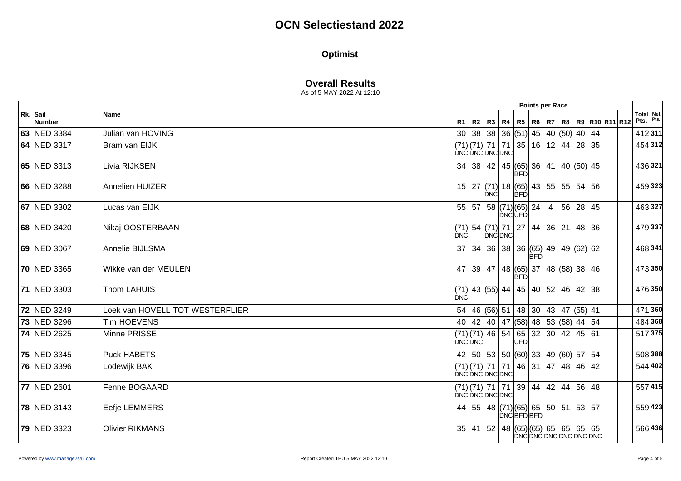### **Optimist**

|                    |                                 |            | Points per Race |                                                                  |        |               |                    |                                |  |                  |  |  |                                                              |                           |  |
|--------------------|---------------------------------|------------|-----------------|------------------------------------------------------------------|--------|---------------|--------------------|--------------------------------|--|------------------|--|--|--------------------------------------------------------------|---------------------------|--|
| Rk. Sail<br>Number | Name                            |            |                 |                                                                  |        |               |                    |                                |  |                  |  |  | R1   R2   R3   R4   R5   R6   R7   R8   R9   R10   R11   R12 | Total Net<br>Pts. $Pts$ . |  |
| 63 NED 3384        | Julian van HOVING               |            |                 | 30   38   38   36   (51)                                         |        |               |                    | 45   40 $\vert$ (50)   40   44 |  |                  |  |  |                                                              | 412311                    |  |
| 64 NED 3317        | Bram van EIJK                   |            |                 | $(71)(71)$ 71 71 35 16 12 44 28 35<br>DNCDNCDNCDNC               |        |               |                    |                                |  |                  |  |  |                                                              | 454312                    |  |
| 65 NED 3313        | Livia RIJKSEN                   |            |                 | $34   38   42   45   (65)   36   41   40   (50)   45$            |        | <b>BFD</b>    |                    |                                |  |                  |  |  |                                                              | 436321                    |  |
| 66 NED 3288        | Annelien HUIZER                 |            |                 | $15$   27 (71) 18 (65) 43   55   55   54   56<br><b>DNC</b>      |        | <b>BFD</b>    |                    |                                |  |                  |  |  |                                                              | 459323                    |  |
| 67 NED 3302        | Lucas van EIJK                  |            |                 | 55   57   58   (71)   (65)   24                                  |        | <b>DNCUFD</b> |                    |                                |  | 4   56   28   45 |  |  |                                                              | 463327                    |  |
| 68 NED 3420        | Nikaj OOSTERBAAN                | DNC        |                 | $(71)$ 54 $(71)$ 71 27 44 36 21 48 36                            | DNCDNC |               |                    |                                |  |                  |  |  |                                                              | 479337                    |  |
| 69 NED 3067        | Annelie BIJLSMA                 |            |                 | $37   34   36   38   36   (65)   49   49   (62)   62$            |        |               | <b>BFD</b>         |                                |  |                  |  |  |                                                              | 468341                    |  |
| 70 NED 3365        | Wikke van der MEULEN            |            |                 | 47 39 47 48 65 37 48 58 38 46                                    |        | <b>BFD</b>    |                    |                                |  |                  |  |  |                                                              | 473350                    |  |
| 71 NED 3303        | Thom LAHUIS                     | <b>DNC</b> |                 | (71)  43  (55)  44   45   40   52   46   42   38                 |        |               |                    |                                |  |                  |  |  |                                                              | 476350                    |  |
| 72 NED 3249        | Loek van HOVELL TOT WESTERFLIER |            |                 | 54   46   (56)   51   48   30   43   47   (55)   41              |        |               |                    |                                |  |                  |  |  |                                                              | 471360                    |  |
| 73 NED 3296        | <b>Tim HOEVENS</b>              |            |                 | 40   42   40   47   (58)   48   53   (58)   44   54              |        |               |                    |                                |  |                  |  |  |                                                              | 484 368                   |  |
| 74 NED 2625        | Minne PRISSE                    | DNĆ DNĆ    |                 | $(71)(71)(74)$ 46 54 65 32 30 42 45 61                           |        | UFD           |                    |                                |  |                  |  |  |                                                              | 517375                    |  |
| 75 NED 3345        | <b>Puck HABETS</b>              |            |                 | 42   50   53   50   (60)   33   49   (60)   57   54              |        |               |                    |                                |  |                  |  |  |                                                              | 508 388                   |  |
| 76 NED 3396        | Lodewijk BAK                    |            |                 | (71) (71)  71   71   46   31   47   48   46   42<br>DNĆDNĆDNCDNC |        |               |                    |                                |  |                  |  |  |                                                              | 544 402                   |  |
| 77 NED 2601        | Fenne BOGAARD                   |            |                 | $(71)(71)$ 71   71   39   44   42   44   56   48<br>DNCDNCDNCDNC |        |               |                    |                                |  |                  |  |  |                                                              | 557415                    |  |
| 78 NED 3143        | Eefje LEMMERS                   |            |                 | 44   55   48 $(71)(65)$ 65   50   51   53   57                   |        |               | DNCBFDBFD          |                                |  |                  |  |  |                                                              | 559423                    |  |
| 79 NED 3323        | <b>Olivier RIKMANS</b>          |            |                 | $35   41   52   48   (65)   (65)   65   65   65   65$            |        |               | DNCDNCDNCDNCDNCDNC |                                |  |                  |  |  |                                                              | 566 436                   |  |